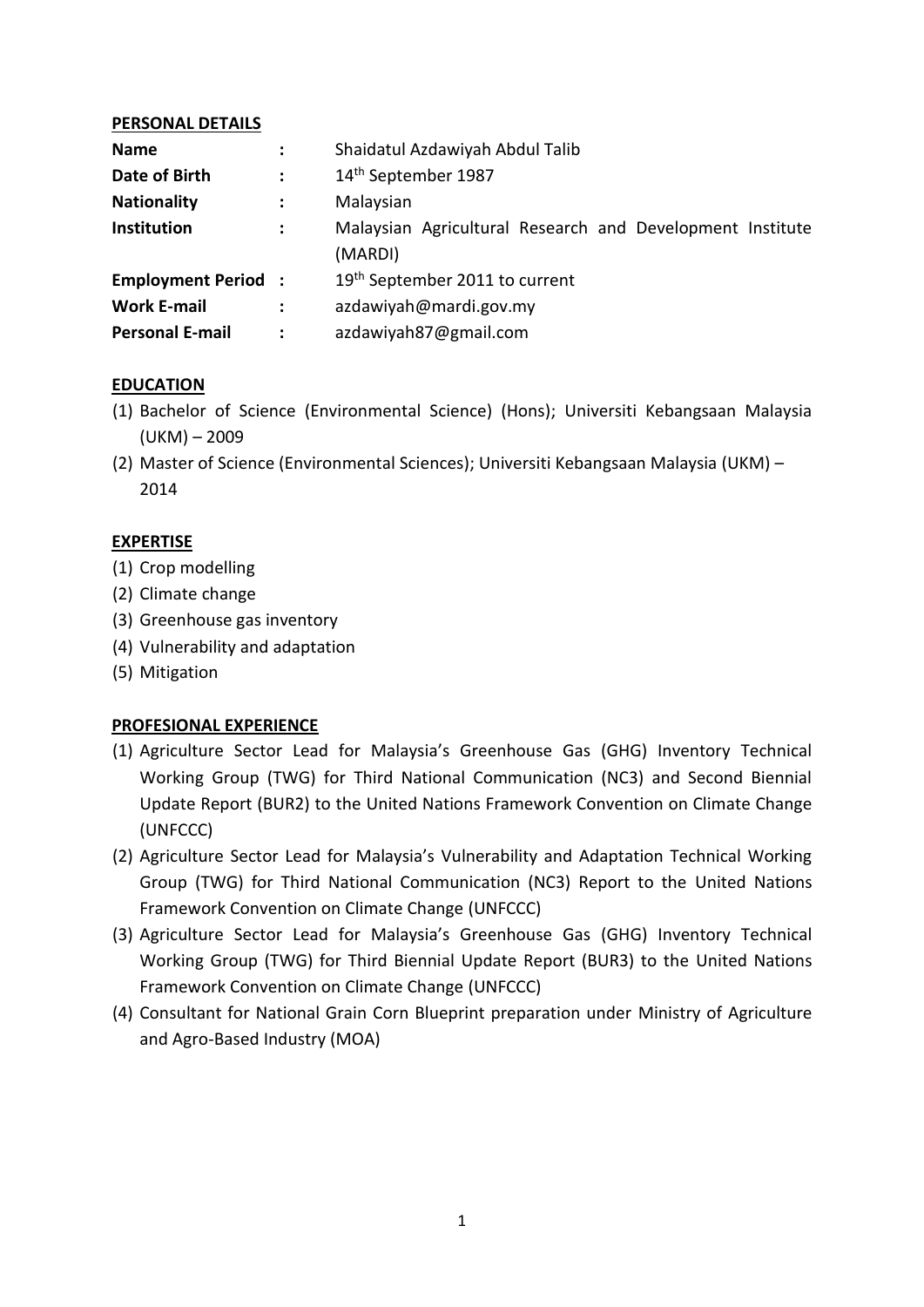## **PERSONAL DETAILS**

| <b>Name</b>               | $\ddot{\cdot}$ | Shaidatul Azdawiyah Abdul Talib                           |
|---------------------------|----------------|-----------------------------------------------------------|
| Date of Birth             | $\ddot{\cdot}$ | 14th September 1987                                       |
| <b>Nationality</b>        | $\ddot{\cdot}$ | Malaysian                                                 |
| Institution               | ÷              | Malaysian Agricultural Research and Development Institute |
|                           |                | (MARDI)                                                   |
| <b>Employment Period:</b> |                | 19th September 2011 to current                            |
| <b>Work E-mail</b>        |                | azdawiyah@mardi.gov.my                                    |
| <b>Personal E-mail</b>    | ÷              | azdawiyah87@gmail.com                                     |

## **EDUCATION**

- (1) Bachelor of Science (Environmental Science) (Hons); Universiti Kebangsaan Malaysia (UKM) – 2009
- (2) Master of Science (Environmental Sciences); Universiti Kebangsaan Malaysia (UKM) 2014

## **EXPERTISE**

- (1) Crop modelling
- (2) Climate change
- (3) Greenhouse gas inventory
- (4) Vulnerability and adaptation
- (5) Mitigation

# **PROFESIONAL EXPERIENCE**

- (1) Agriculture Sector Lead for Malaysia's Greenhouse Gas (GHG) Inventory Technical Working Group (TWG) for Third National Communication (NC3) and Second Biennial Update Report (BUR2) to the United Nations Framework Convention on Climate Change (UNFCCC)
- (2) Agriculture Sector Lead for Malaysia's Vulnerability and Adaptation Technical Working Group (TWG) for Third National Communication (NC3) Report to the United Nations Framework Convention on Climate Change (UNFCCC)
- (3) Agriculture Sector Lead for Malaysia's Greenhouse Gas (GHG) Inventory Technical Working Group (TWG) for Third Biennial Update Report (BUR3) to the United Nations Framework Convention on Climate Change (UNFCCC)
- (4) Consultant for National Grain Corn Blueprint preparation under Ministry of Agriculture and Agro-Based Industry (MOA)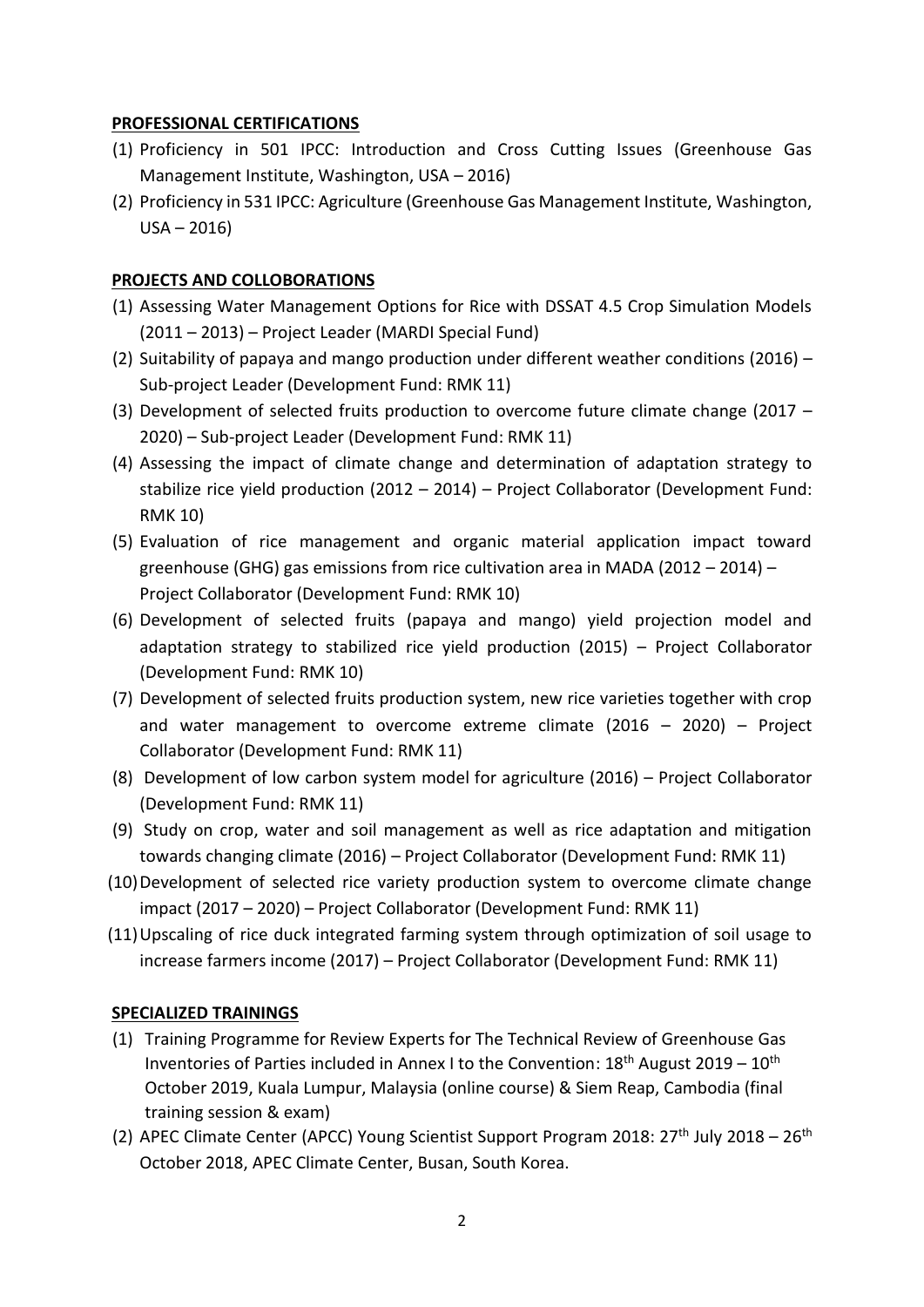## **PROFESSIONAL CERTIFICATIONS**

- (1) Proficiency in 501 IPCC: Introduction and Cross Cutting Issues (Greenhouse Gas Management Institute, Washington, USA – 2016)
- (2) Proficiency in 531 IPCC: Agriculture (Greenhouse Gas Management Institute, Washington,  $USA - 2016)$

## **PROJECTS AND COLLOBORATIONS**

- (1) Assessing Water Management Options for Rice with DSSAT 4.5 Crop Simulation Models (2011 – 2013) – Project Leader (MARDI Special Fund)
- (2) Suitability of papaya and mango production under different weather conditions (2016) Sub-project Leader (Development Fund: RMK 11)
- (3) Development of selected fruits production to overcome future climate change (2017 2020) – Sub-project Leader (Development Fund: RMK 11)
- (4) Assessing the impact of climate change and determination of adaptation strategy to stabilize rice yield production (2012 – 2014) – Project Collaborator (Development Fund: RMK 10)
- (5) Evaluation of rice management and organic material application impact toward greenhouse (GHG) gas emissions from rice cultivation area in MADA (2012 – 2014) – Project Collaborator (Development Fund: RMK 10)
- (6) Development of selected fruits (papaya and mango) yield projection model and adaptation strategy to stabilized rice yield production (2015) – Project Collaborator (Development Fund: RMK 10)
- (7) Development of selected fruits production system, new rice varieties together with crop and water management to overcome extreme climate  $(2016 - 2020)$  – Project Collaborator (Development Fund: RMK 11)
- (8) Development of low carbon system model for agriculture (2016) Project Collaborator (Development Fund: RMK 11)
- (9) Study on crop, water and soil management as well as rice adaptation and mitigation towards changing climate (2016) – Project Collaborator (Development Fund: RMK 11)
- (10)Development of selected rice variety production system to overcome climate change impact (2017 – 2020) – Project Collaborator (Development Fund: RMK 11)
- (11)Upscaling of rice duck integrated farming system through optimization of soil usage to increase farmers income (2017) – Project Collaborator (Development Fund: RMK 11)

# **SPECIALIZED TRAININGS**

- (1) Training Programme for Review Experts for The Technical Review of Greenhouse Gas Inventories of Parties included in Annex I to the Convention:  $18<sup>th</sup>$  August 2019 –  $10<sup>th</sup>$ October 2019, Kuala Lumpur, Malaysia (online course) & Siem Reap, Cambodia (final training session & exam)
- (2) APEC Climate Center (APCC) Young Scientist Support Program 2018:  $27<sup>th</sup>$  July 2018  $26<sup>th</sup>$ October 2018, APEC Climate Center, Busan, South Korea.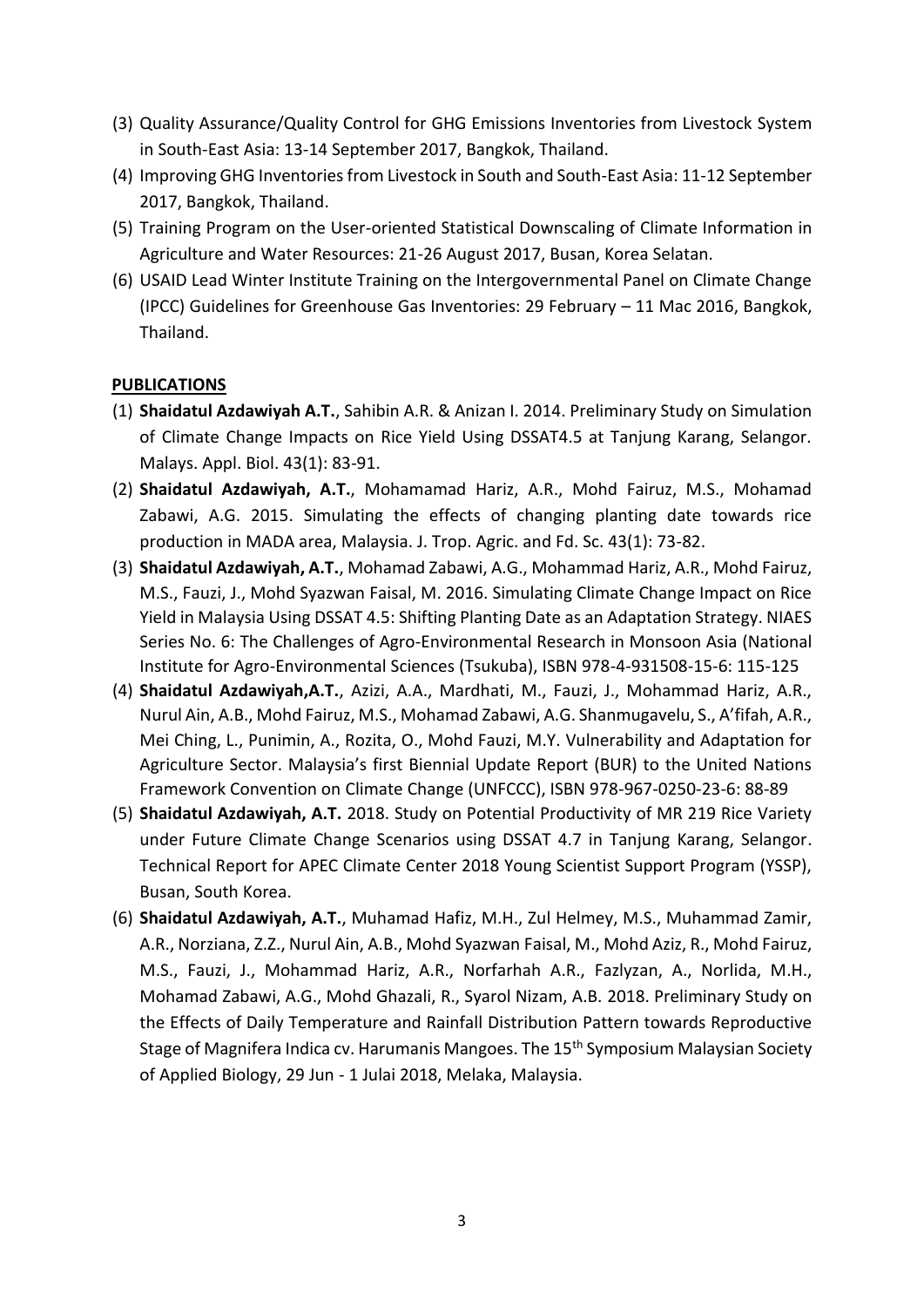- (3) Quality Assurance/Quality Control for GHG Emissions Inventories from Livestock System in South-East Asia: 13-14 September 2017, Bangkok, Thailand.
- (4) Improving GHG Inventories from Livestock in South and South-East Asia: 11-12 September 2017, Bangkok, Thailand.
- (5) Training Program on the User-oriented Statistical Downscaling of Climate Information in Agriculture and Water Resources: 21-26 August 2017, Busan, Korea Selatan.
- (6) USAID Lead Winter Institute Training on the Intergovernmental Panel on Climate Change (IPCC) Guidelines for Greenhouse Gas Inventories: 29 February – 11 Mac 2016, Bangkok, Thailand.

# **PUBLICATIONS**

- (1) **Shaidatul Azdawiyah A.T.**, Sahibin A.R. & Anizan I. 2014. Preliminary Study on Simulation of Climate Change Impacts on Rice Yield Using DSSAT4.5 at Tanjung Karang, Selangor. Malays. Appl. Biol. 43(1): 83-91.
- (2) **Shaidatul Azdawiyah, A.T.**, Mohamamad Hariz, A.R., Mohd Fairuz, M.S., Mohamad Zabawi, A.G. 2015. Simulating the effects of changing planting date towards rice production in MADA area, Malaysia. J. Trop. Agric. and Fd. Sc. 43(1): 73-82.
- (3) **Shaidatul Azdawiyah, A.T.**, Mohamad Zabawi, A.G., Mohammad Hariz, A.R., Mohd Fairuz, M.S., Fauzi, J., Mohd Syazwan Faisal, M. 2016. Simulating Climate Change Impact on Rice Yield in Malaysia Using DSSAT 4.5: Shifting Planting Date as an Adaptation Strategy. NIAES Series No. 6: The Challenges of Agro-Environmental Research in Monsoon Asia (National Institute for Agro-Environmental Sciences (Tsukuba), ISBN 978-4-931508-15-6: 115-125
- (4) **Shaidatul Azdawiyah,A.T.**, Azizi, A.A., Mardhati, M., Fauzi, J., Mohammad Hariz, A.R., Nurul Ain, A.B., Mohd Fairuz, M.S., Mohamad Zabawi, A.G. Shanmugavelu, S., A'fifah, A.R., Mei Ching, L., Punimin, A., Rozita, O., Mohd Fauzi, M.Y. Vulnerability and Adaptation for Agriculture Sector. Malaysia's first Biennial Update Report (BUR) to the United Nations Framework Convention on Climate Change (UNFCCC), ISBN 978-967-0250-23-6: 88-89
- (5) **Shaidatul Azdawiyah, A.T.** 2018. Study on Potential Productivity of MR 219 Rice Variety under Future Climate Change Scenarios using DSSAT 4.7 in Tanjung Karang, Selangor. Technical Report for APEC Climate Center 2018 Young Scientist Support Program (YSSP), Busan, South Korea.
- (6) **Shaidatul Azdawiyah, A.T.**, Muhamad Hafiz, M.H., Zul Helmey, M.S., Muhammad Zamir, A.R., Norziana, Z.Z., Nurul Ain, A.B., Mohd Syazwan Faisal, M., Mohd Aziz, R., Mohd Fairuz, M.S., Fauzi, J., Mohammad Hariz, A.R., Norfarhah A.R., Fazlyzan, A., Norlida, M.H., Mohamad Zabawi, A.G., Mohd Ghazali, R., Syarol Nizam, A.B. 2018. Preliminary Study on the Effects of Daily Temperature and Rainfall Distribution Pattern towards Reproductive Stage of Magnifera Indica cv. Harumanis Mangoes. The 15<sup>th</sup> Symposium Malaysian Society of Applied Biology, 29 Jun - 1 Julai 2018, Melaka, Malaysia.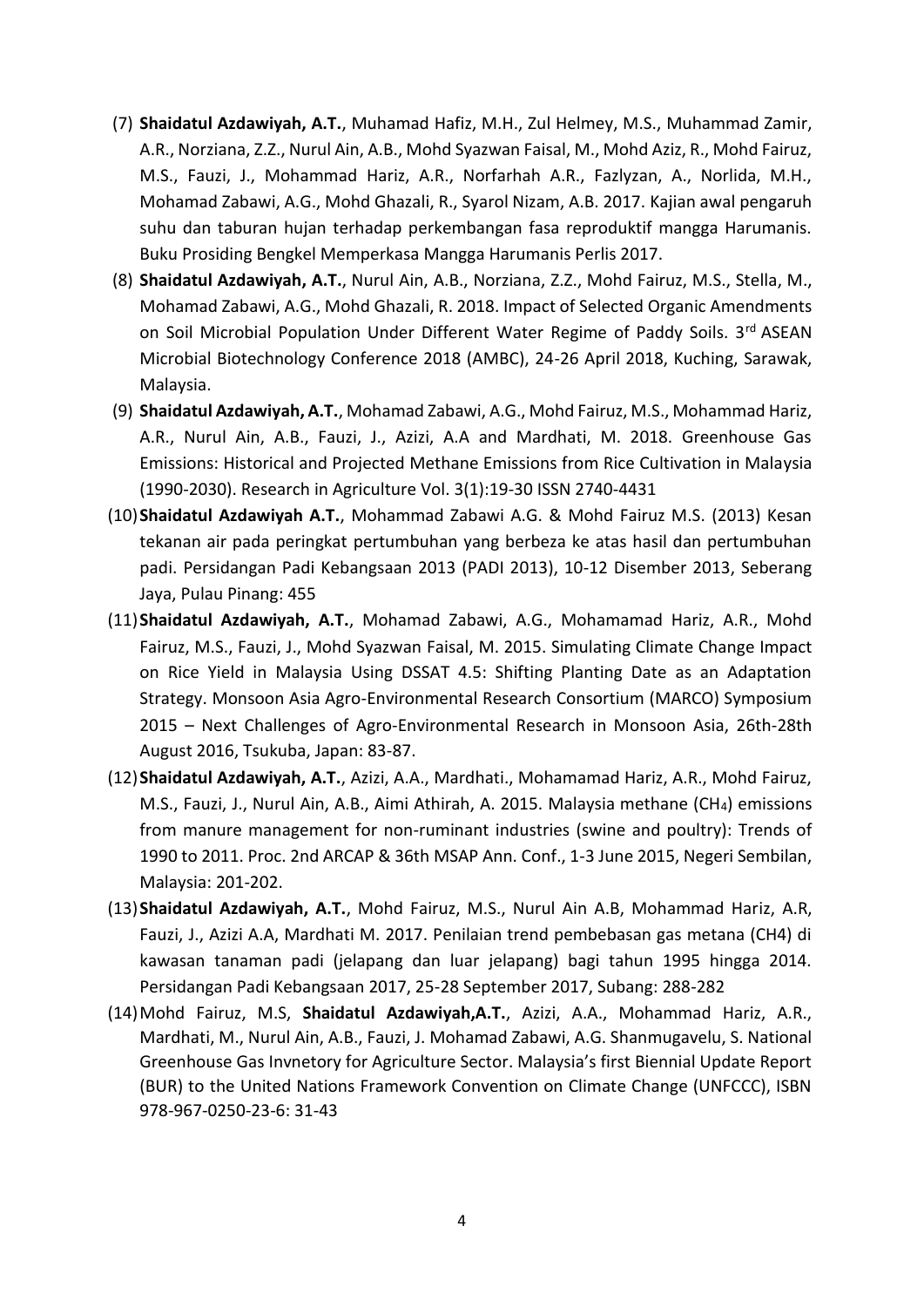- (7) **Shaidatul Azdawiyah, A.T.**, Muhamad Hafiz, M.H., Zul Helmey, M.S., Muhammad Zamir, A.R., Norziana, Z.Z., Nurul Ain, A.B., Mohd Syazwan Faisal, M., Mohd Aziz, R., Mohd Fairuz, M.S., Fauzi, J., Mohammad Hariz, A.R., Norfarhah A.R., Fazlyzan, A., Norlida, M.H., Mohamad Zabawi, A.G., Mohd Ghazali, R., Syarol Nizam, A.B. 2017. Kajian awal pengaruh suhu dan taburan hujan terhadap perkembangan fasa reproduktif mangga Harumanis. Buku Prosiding Bengkel Memperkasa Mangga Harumanis Perlis 2017.
- (8) **Shaidatul Azdawiyah, A.T.**, Nurul Ain, A.B., Norziana, Z.Z., Mohd Fairuz, M.S., Stella, M., Mohamad Zabawi, A.G., Mohd Ghazali, R. 2018. Impact of Selected Organic Amendments on Soil Microbial Population Under Different Water Regime of Paddy Soils. 3<sup>rd</sup> ASEAN Microbial Biotechnology Conference 2018 (AMBC), 24-26 April 2018, Kuching, Sarawak, Malaysia.
- (9) **Shaidatul Azdawiyah, A.T.**, Mohamad Zabawi, A.G., Mohd Fairuz, M.S., Mohammad Hariz, A.R., Nurul Ain, A.B., Fauzi, J., Azizi, A.A and Mardhati, M. 2018. Greenhouse Gas Emissions: Historical and Projected Methane Emissions from Rice Cultivation in Malaysia (1990-2030). Research in Agriculture Vol. 3(1):19-30 ISSN 2740-4431
- (10)**Shaidatul Azdawiyah A.T.**, Mohammad Zabawi A.G. & Mohd Fairuz M.S. (2013) Kesan tekanan air pada peringkat pertumbuhan yang berbeza ke atas hasil dan pertumbuhan padi. Persidangan Padi Kebangsaan 2013 (PADI 2013), 10-12 Disember 2013, Seberang Jaya, Pulau Pinang: 455
- (11)**Shaidatul Azdawiyah, A.T.**, Mohamad Zabawi, A.G., Mohamamad Hariz, A.R., Mohd Fairuz, M.S., Fauzi, J., Mohd Syazwan Faisal, M. 2015. Simulating Climate Change Impact on Rice Yield in Malaysia Using DSSAT 4.5: Shifting Planting Date as an Adaptation Strategy. Monsoon Asia Agro-Environmental Research Consortium (MARCO) Symposium 2015 – Next Challenges of Agro-Environmental Research in Monsoon Asia, 26th-28th August 2016, Tsukuba, Japan: 83-87.
- (12)**Shaidatul Azdawiyah, A.T.**, Azizi, A.A., Mardhati., Mohamamad Hariz, A.R., Mohd Fairuz, M.S., Fauzi, J., Nurul Ain, A.B., Aimi Athirah, A. 2015. Malaysia methane (CH4) emissions from manure management for non-ruminant industries (swine and poultry): Trends of 1990 to 2011. Proc. 2nd ARCAP & 36th MSAP Ann. Conf., 1-3 June 2015, Negeri Sembilan, Malaysia: 201-202.
- (13)**Shaidatul Azdawiyah, A.T.**, Mohd Fairuz, M.S., Nurul Ain A.B, Mohammad Hariz, A.R, Fauzi, J., Azizi A.A, Mardhati M. 2017. Penilaian trend pembebasan gas metana (CH4) di kawasan tanaman padi (jelapang dan luar jelapang) bagi tahun 1995 hingga 2014. Persidangan Padi Kebangsaan 2017, 25-28 September 2017, Subang: 288-282
- (14)Mohd Fairuz, M.S, **Shaidatul Azdawiyah,A.T.**, Azizi, A.A., Mohammad Hariz, A.R., Mardhati, M., Nurul Ain, A.B., Fauzi, J. Mohamad Zabawi, A.G. Shanmugavelu, S. National Greenhouse Gas Invnetory for Agriculture Sector. Malaysia's first Biennial Update Report (BUR) to the United Nations Framework Convention on Climate Change (UNFCCC), ISBN 978-967-0250-23-6: 31-43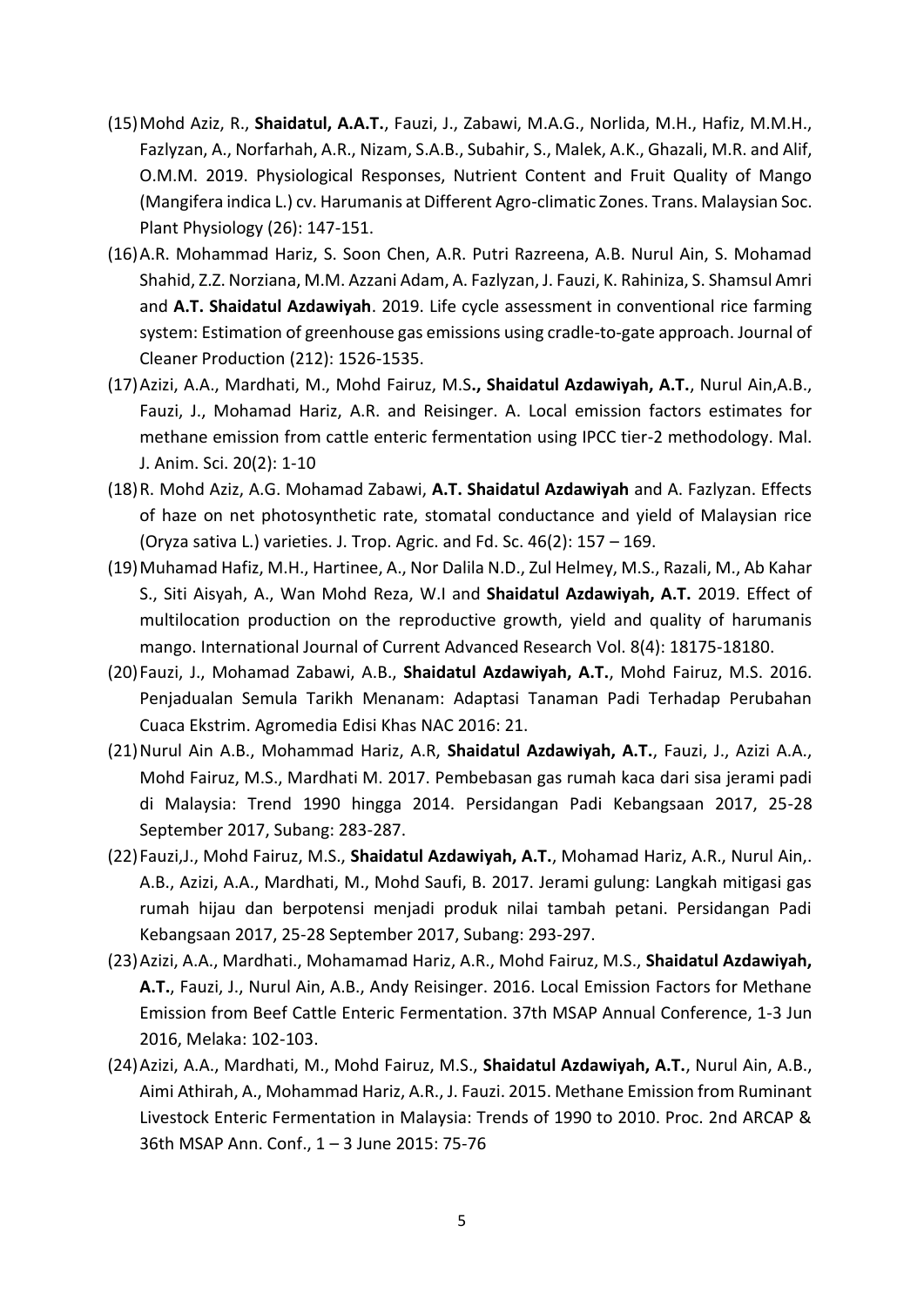- (15)Mohd Aziz, R., **Shaidatul, A.A.T.**, Fauzi, J., Zabawi, M.A.G., Norlida, M.H., Hafiz, M.M.H., Fazlyzan, A., Norfarhah, A.R., Nizam, S.A.B., Subahir, S., Malek, A.K., Ghazali, M.R. and Alif, O.M.M. 2019. Physiological Responses, Nutrient Content and Fruit Quality of Mango (Mangifera indica L.) cv. Harumanis at Different Agro-climatic Zones. Trans. Malaysian Soc. Plant Physiology (26): 147-151.
- (16)A.R. Mohammad Hariz, S. Soon Chen, A.R. Putri Razreena, A.B. Nurul Ain, S. Mohamad Shahid, Z.Z. Norziana, M.M. Azzani Adam, A. Fazlyzan, J. Fauzi, K. Rahiniza, S. Shamsul Amri and **A.T. Shaidatul Azdawiyah**. 2019. Life cycle assessment in conventional rice farming system: Estimation of greenhouse gas emissions using cradle-to-gate approach. Journal of Cleaner Production (212): 1526-1535.
- (17)Azizi, A.A., Mardhati, M., Mohd Fairuz, M.S**., Shaidatul Azdawiyah, A.T.**, Nurul Ain,A.B., Fauzi, J., Mohamad Hariz, A.R. and Reisinger. A. Local emission factors estimates for methane emission from cattle enteric fermentation using IPCC tier-2 methodology. Mal. J. Anim. Sci. 20(2): 1-10
- (18)R. Mohd Aziz, A.G. Mohamad Zabawi, **A.T. Shaidatul Azdawiyah** and A. Fazlyzan. Effects of haze on net photosynthetic rate, stomatal conductance and yield of Malaysian rice (Oryza sativa L.) varieties. J. Trop. Agric. and Fd. Sc. 46(2): 157 – 169.
- (19)Muhamad Hafiz, M.H., Hartinee, A., Nor Dalila N.D., Zul Helmey, M.S., Razali, M., Ab Kahar S., Siti Aisyah, A., Wan Mohd Reza, W.I and **Shaidatul Azdawiyah, A.T.** 2019. Effect of multilocation production on the reproductive growth, yield and quality of harumanis mango. International Journal of Current Advanced Research Vol. 8(4): 18175-18180.
- (20)Fauzi, J., Mohamad Zabawi, A.B., **Shaidatul Azdawiyah, A.T.**, Mohd Fairuz, M.S. 2016. Penjadualan Semula Tarikh Menanam: Adaptasi Tanaman Padi Terhadap Perubahan Cuaca Ekstrim. Agromedia Edisi Khas NAC 2016: 21.
- (21)Nurul Ain A.B., Mohammad Hariz, A.R, **Shaidatul Azdawiyah, A.T.**, Fauzi, J., Azizi A.A., Mohd Fairuz, M.S., Mardhati M. 2017. Pembebasan gas rumah kaca dari sisa jerami padi di Malaysia: Trend 1990 hingga 2014. Persidangan Padi Kebangsaan 2017, 25-28 September 2017, Subang: 283-287.
- (22)Fauzi,J., Mohd Fairuz, M.S., **Shaidatul Azdawiyah, A.T.**, Mohamad Hariz, A.R., Nurul Ain,. A.B., Azizi, A.A., Mardhati, M., Mohd Saufi, B. 2017. Jerami gulung: Langkah mitigasi gas rumah hijau dan berpotensi menjadi produk nilai tambah petani. Persidangan Padi Kebangsaan 2017, 25-28 September 2017, Subang: 293-297.
- (23)Azizi, A.A., Mardhati., Mohamamad Hariz, A.R., Mohd Fairuz, M.S., **Shaidatul Azdawiyah, A.T.**, Fauzi, J., Nurul Ain, A.B., Andy Reisinger. 2016. Local Emission Factors for Methane Emission from Beef Cattle Enteric Fermentation. 37th MSAP Annual Conference, 1-3 Jun 2016, Melaka: 102-103.
- (24)Azizi, A.A., Mardhati, M., Mohd Fairuz, M.S., **Shaidatul Azdawiyah, A.T.**, Nurul Ain, A.B., Aimi Athirah, A., Mohammad Hariz, A.R., J. Fauzi. 2015. Methane Emission from Ruminant Livestock Enteric Fermentation in Malaysia: Trends of 1990 to 2010. Proc. 2nd ARCAP & 36th MSAP Ann. Conf., 1 – 3 June 2015: 75-76